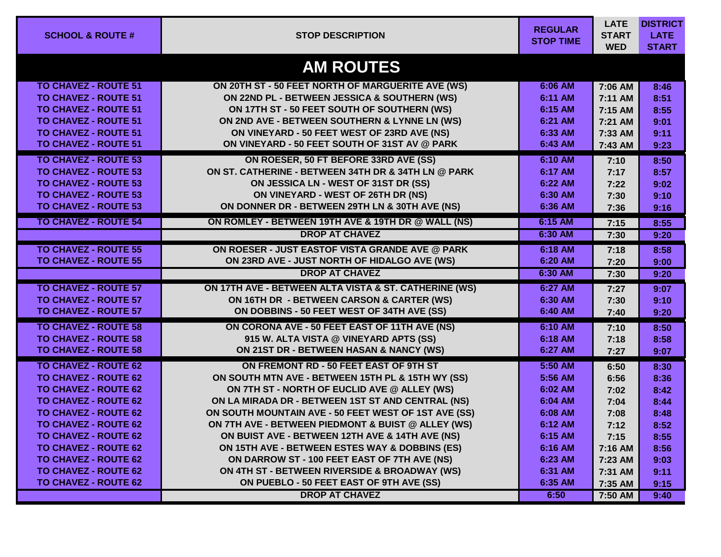| <b>SCHOOL &amp; ROUTE #</b> | <b>STOP DESCRIPTION</b>                               | <b>REGULAR</b><br><b>STOP TIME</b> | <b>LATE</b><br><b>START</b><br><b>WED</b> | <b>DISTRICT</b><br><b>LATE</b><br><b>START</b> |
|-----------------------------|-------------------------------------------------------|------------------------------------|-------------------------------------------|------------------------------------------------|
|                             | <b>AM ROUTES</b>                                      |                                    |                                           |                                                |
| <b>TO CHAVEZ - ROUTE 51</b> | ON 20TH ST - 50 FEET NORTH OF MARGUERITE AVE (WS)     | 6:06 AM                            | 7:06 AM                                   | 8:46                                           |
| <b>TO CHAVEZ - ROUTE 51</b> | ON 22ND PL - BETWEEN JESSICA & SOUTHERN (WS)          | 6:11 AM                            | 7:11 AM                                   | 8:51                                           |
| <b>TO CHAVEZ - ROUTE 51</b> | ON 17TH ST - 50 FEET SOUTH OF SOUTHERN (WS)           | 6:15 AM                            | 7:15 AM                                   | 8:55                                           |
| <b>TO CHAVEZ - ROUTE 51</b> | ON 2ND AVE - BETWEEN SOUTHERN & LYNNE LN (WS)         | 6:21 AM                            | 7:21 AM                                   | 9:01                                           |
| <b>TO CHAVEZ - ROUTE 51</b> | ON VINEYARD - 50 FEET WEST OF 23RD AVE (NS)           | 6:33 AM                            | 7:33 AM                                   | 9:11                                           |
| <b>TO CHAVEZ - ROUTE 51</b> | ON VINEYARD - 50 FEET SOUTH OF 31ST AV @ PARK         | 6:43 AM                            | 7:43 AM                                   | 9:23                                           |
| <b>TO CHAVEZ - ROUTE 53</b> | ON ROESER, 50 FT BEFORE 33RD AVE (SS)                 | 6:10 AM                            | 7:10                                      | 8:50                                           |
| <b>TO CHAVEZ - ROUTE 53</b> | ON ST. CATHERINE - BETWEEN 34TH DR & 34TH LN @ PARK   | 6:17 AM                            | 7:17                                      | 8:57                                           |
| <b>TO CHAVEZ - ROUTE 53</b> | ON JESSICA LN - WEST OF 31ST DR (SS)                  | 6:22 AM                            | 7:22                                      | 9:02                                           |
| <b>TO CHAVEZ - ROUTE 53</b> | ON VINEYARD - WEST OF 26TH DR (NS)                    | 6:30 AM                            | 7:30                                      | 9:10                                           |
| <b>TO CHAVEZ - ROUTE 53</b> | ON DONNER DR - BETWEEN 29TH LN & 30TH AVE (NS)        | 6:36 AM                            | 7:36                                      | 9:16                                           |
| <b>TO CHAVEZ - ROUTE 54</b> | ON ROMLEY - BETWEEN 19TH AVE & 19TH DR @ WALL (NS)    | 6:15 AM                            | 7:15                                      | 8:55                                           |
|                             | <b>DROP AT CHAVEZ</b>                                 | 6:30 AM                            | 7:30                                      | 9:20                                           |
| <b>TO CHAVEZ - ROUTE 55</b> | ON ROESER - JUST EASTOF VISTA GRANDE AVE @ PARK       | 6:18 AM                            | 7:18                                      | 8:58                                           |
| <b>TO CHAVEZ - ROUTE 55</b> | ON 23RD AVE - JUST NORTH OF HIDALGO AVE (WS)          | 6:20 AM                            | 7:20                                      | 9:00                                           |
|                             | <b>DROP AT CHAVEZ</b>                                 | 6:30 AM                            | 7:30                                      | 9:20                                           |
| <b>TO CHAVEZ - ROUTE 57</b> | ON 17TH AVE - BETWEEN ALTA VISTA & ST. CATHERINE (WS) | 6:27 AM                            | 7:27                                      | 9:07                                           |
| <b>TO CHAVEZ - ROUTE 57</b> | ON 16TH DR - BETWEEN CARSON & CARTER (WS)             | 6:30 AM                            | 7:30                                      | 9:10                                           |
| <b>TO CHAVEZ - ROUTE 57</b> | ON DOBBINS - 50 FEET WEST OF 34TH AVE (SS)            | 6:40 AM                            | 7:40                                      | 9:20                                           |
| <b>TO CHAVEZ - ROUTE 58</b> | ON CORONA AVE - 50 FEET EAST OF 11TH AVE (NS)         | 6:10 AM                            | 7:10                                      | 8:50                                           |
| <b>TO CHAVEZ - ROUTE 58</b> | 915 W. ALTA VISTA @ VINEYARD APTS (SS)                | 6:18 AM                            | 7:18                                      | 8:58                                           |
| <b>TO CHAVEZ - ROUTE 58</b> | ON 21ST DR - BETWEEN HASAN & NANCY (WS)               | 6:27 AM                            | 7:27                                      | 9:07                                           |
| <b>TO CHAVEZ - ROUTE 62</b> | ON FREMONT RD - 50 FEET EAST OF 9TH ST                | 5:50 AM                            | 6:50                                      | 8:30                                           |
| <b>TO CHAVEZ - ROUTE 62</b> | ON SOUTH MTN AVE - BETWEEN 15TH PL & 15TH WY (SS)     | 5:56 AM                            | 6:56                                      | 8:36                                           |
| <b>TO CHAVEZ - ROUTE 62</b> | ON 7TH ST - NORTH OF EUCLID AVE @ ALLEY (WS)          | 6:02 AM                            | 7:02                                      | 8:42                                           |
| <b>TO CHAVEZ - ROUTE 62</b> | ON LA MIRADA DR - BETWEEN 1ST ST AND CENTRAL (NS)     | 6:04 AM                            | 7:04                                      | 8:44                                           |
| <b>TO CHAVEZ - ROUTE 62</b> | ON SOUTH MOUNTAIN AVE - 50 FEET WEST OF 1ST AVE (SS)  | 6:08 AM                            | 7:08                                      | 8:48                                           |
| <b>TO CHAVEZ - ROUTE 62</b> | ON 7TH AVE - BETWEEN PIEDMONT & BUIST @ ALLEY (WS)    | 6:12 AM                            | 7:12                                      | 8:52                                           |
| <b>TO CHAVEZ - ROUTE 62</b> | ON BUIST AVE - BETWEEN 12TH AVE & 14TH AVE (NS)       | 6:15 AM                            | 7:15                                      | 8:55                                           |
| <b>TO CHAVEZ - ROUTE 62</b> | ON 15TH AVE - BETWEEN ESTES WAY & DOBBINS (ES)        | 6:16 AM                            | 7:16 AM                                   | 8:56                                           |
| <b>TO CHAVEZ - ROUTE 62</b> | ON DARROW ST - 100 FEET EAST OF 7TH AVE (NS)          | 6:23 AM                            | 7:23 AM                                   | 9:03                                           |
| <b>TO CHAVEZ - ROUTE 62</b> | ON 4TH ST - BETWEEN RIVERSIDE & BROADWAY (WS)         | 6:31 AM                            | 7:31 AM                                   | 9:11                                           |
| <b>TO CHAVEZ - ROUTE 62</b> | ON PUEBLO - 50 FEET EAST OF 9TH AVE (SS)              | 6:35 AM                            | 7:35 AM                                   | 9:15                                           |
|                             | <b>DROP AT CHAVEZ</b>                                 | 6:50                               | 7:50 AM                                   | 9:40                                           |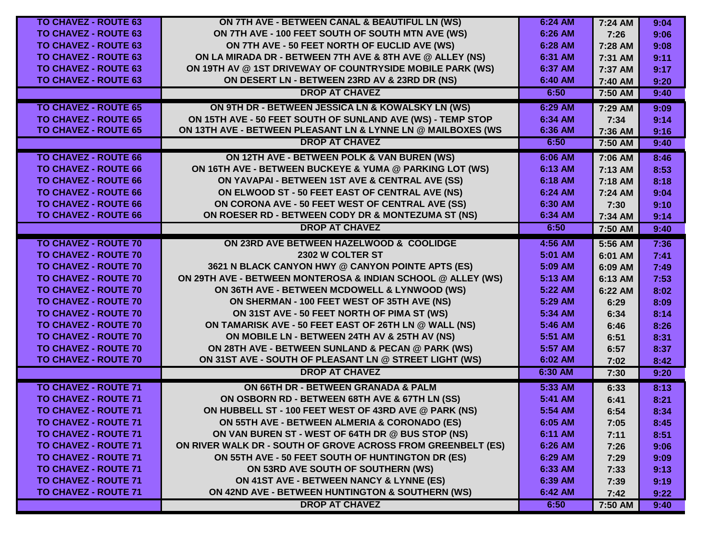| <b>TO CHAVEZ - ROUTE 63</b> | ON 7TH AVE - BETWEEN CANAL & BEAUTIFUL LN (WS)               | 6:24 AM | 7:24 AM | 9:04 |
|-----------------------------|--------------------------------------------------------------|---------|---------|------|
| <b>TO CHAVEZ - ROUTE 63</b> | ON 7TH AVE - 100 FEET SOUTH OF SOUTH MTN AVE (WS)            | 6:26 AM | 7:26    | 9:06 |
| <b>TO CHAVEZ - ROUTE 63</b> | ON 7TH AVE - 50 FEET NORTH OF EUCLID AVE (WS)                | 6:28 AM | 7:28 AM | 9:08 |
| <b>TO CHAVEZ - ROUTE 63</b> | ON LA MIRADA DR - BETWEEN 7TH AVE & 8TH AVE @ ALLEY (NS)     | 6:31 AM | 7:31 AM | 9:11 |
| <b>TO CHAVEZ - ROUTE 63</b> | ON 19TH AV @ 1ST DRIVEWAY OF COUNTRYSIDE MOBILE PARK (WS)    | 6:37 AM | 7:37 AM | 9:17 |
| <b>TO CHAVEZ - ROUTE 63</b> | ON DESERT LN - BETWEEN 23RD AV & 23RD DR (NS)                | 6:40 AM | 7:40 AM | 9:20 |
|                             | <b>DROP AT CHAVEZ</b>                                        | 6:50    | 7:50 AM | 9:40 |
| <b>TO CHAVEZ - ROUTE 65</b> | ON 9TH DR - BETWEEN JESSICA LN & KOWALSKY LN (WS)            | 6:29 AM | 7:29 AM | 9:09 |
| <b>TO CHAVEZ - ROUTE 65</b> | ON 15TH AVE - 50 FEET SOUTH OF SUNLAND AVE (WS) - TEMP STOP  | 6:34 AM | 7:34    | 9:14 |
| <b>TO CHAVEZ - ROUTE 65</b> | ON 13TH AVE - BETWEEN PLEASANT LN & LYNNE LN @ MAILBOXES (WS | 6:36 AM | 7:36 AM | 9:16 |
|                             | <b>DROP AT CHAVEZ</b>                                        | 6:50    | 7:50 AM | 9:40 |
| <b>TO CHAVEZ - ROUTE 66</b> | ON 12TH AVE - BETWEEN POLK & VAN BUREN (WS)                  | 6:06 AM | 7:06 AM | 8:46 |
| <b>TO CHAVEZ - ROUTE 66</b> | ON 16TH AVE - BETWEEN BUCKEYE & YUMA @ PARKING LOT (WS)      | 6:13 AM | 7:13 AM | 8:53 |
| <b>TO CHAVEZ - ROUTE 66</b> | ON YAVAPAI - BETWEEN 1ST AVE & CENTRAL AVE (SS)              | 6:18 AM | 7:18 AM | 8:18 |
| <b>TO CHAVEZ - ROUTE 66</b> | ON ELWOOD ST - 50 FEET EAST OF CENTRAL AVE (NS)              | 6:24 AM | 7:24 AM | 9:04 |
| <b>TO CHAVEZ - ROUTE 66</b> | ON CORONA AVE - 50 FEET WEST OF CENTRAL AVE (SS)             | 6:30 AM | 7:30    | 9:10 |
| <b>TO CHAVEZ - ROUTE 66</b> | ON ROESER RD - BETWEEN CODY DR & MONTEZUMA ST (NS)           | 6:34 AM | 7:34 AM | 9:14 |
|                             | <b>DROP AT CHAVEZ</b>                                        | 6:50    | 7:50 AM | 9:40 |
| <b>TO CHAVEZ - ROUTE 70</b> | ON 23RD AVE BETWEEN HAZELWOOD & COOLIDGE                     | 4:56 AM | 5:56 AM | 7:36 |
| <b>TO CHAVEZ - ROUTE 70</b> | 2302 W COLTER ST                                             | 5:01 AM | 6:01 AM | 7:41 |
| <b>TO CHAVEZ - ROUTE 70</b> | 3621 N BLACK CANYON HWY @ CANYON POINTE APTS (ES)            | 5:09 AM | 6:09 AM | 7:49 |
| <b>TO CHAVEZ - ROUTE 70</b> | ON 29TH AVE - BETWEEN MONTEROSA & INDIAN SCHOOL @ ALLEY (WS) | 5:13 AM | 6:13 AM | 7:53 |
| <b>TO CHAVEZ - ROUTE 70</b> | ON 36TH AVE - BETWEEN MCDOWELL & LYNWOOD (WS)                | 5:22 AM | 6:22 AM | 8:02 |
| <b>TO CHAVEZ - ROUTE 70</b> | ON SHERMAN - 100 FEET WEST OF 35TH AVE (NS)                  | 5:29 AM | 6:29    | 8:09 |
| <b>TO CHAVEZ - ROUTE 70</b> | ON 31ST AVE - 50 FEET NORTH OF PIMA ST (WS)                  | 5:34 AM | 6:34    | 8:14 |
| <b>TO CHAVEZ - ROUTE 70</b> | ON TAMARISK AVE - 50 FEET EAST OF 26TH LN @ WALL (NS)        | 5:46 AM | 6:46    | 8:26 |
| <b>TO CHAVEZ - ROUTE 70</b> | ON MOBILE LN - BETWEEN 24TH AV & 25TH AV (NS)                | 5:51 AM | 6:51    | 8:31 |
| <b>TO CHAVEZ - ROUTE 70</b> | ON 28TH AVE - BETWEEN SUNLAND & PECAN @ PARK (WS)            | 5:57 AM | 6:57    | 8:37 |
| <b>TO CHAVEZ - ROUTE 70</b> | ON 31ST AVE - SOUTH OF PLEASANT LN @ STREET LIGHT (WS)       | 6:02 AM | 7:02    | 8:42 |
|                             | <b>DROP AT CHAVEZ</b>                                        | 6:30 AM | 7:30    | 9:20 |
| <b>TO CHAVEZ - ROUTE 71</b> | ON 66TH DR - BETWEEN GRANADA & PALM                          | 5:33 AM | 6:33    | 8:13 |
| <b>TO CHAVEZ - ROUTE 71</b> | ON OSBORN RD - BETWEEN 68TH AVE & 67TH LN (SS)               | 5:41 AM | 6:41    | 8:21 |
| <b>TO CHAVEZ - ROUTE 71</b> | ON HUBBELL ST - 100 FEET WEST OF 43RD AVE @ PARK (NS)        | 5:54 AM | 6:54    | 8:34 |
| TO CHAVEZ - ROUTE 71        | ON 55TH AVE - BETWEEN ALMERIA & CORONADO (ES)                | 6:05 AM | 7:05    | 8:45 |
| <b>TO CHAVEZ - ROUTE 71</b> | ON VAN BUREN ST - WEST OF 64TH DR @ BUS STOP (NS)            | 6:11 AM | 7:11    | 8:51 |
| <b>TO CHAVEZ - ROUTE 71</b> | ON RIVER WALK DR - SOUTH OF GROVE ACROSS FROM GREENBELT (ES) | 6:26 AM | 7:26    | 9:06 |
| <b>TO CHAVEZ - ROUTE 71</b> | ON 55TH AVE - 50 FEET SOUTH OF HUNTINGTON DR (ES)            | 6:29 AM | 7:29    | 9:09 |
| <b>TO CHAVEZ - ROUTE 71</b> | ON 53RD AVE SOUTH OF SOUTHERN (WS)                           | 6:33 AM | 7:33    | 9:13 |
| <b>TO CHAVEZ - ROUTE 71</b> | ON 41ST AVE - BETWEEN NANCY & LYNNE (ES)                     | 6:39 AM | 7:39    | 9:19 |
| <b>TO CHAVEZ - ROUTE 71</b> | ON 42ND AVE - BETWEEN HUNTINGTON & SOUTHERN (WS)             | 6:42 AM | 7:42    | 9:22 |
|                             | <b>DROP AT CHAVEZ</b>                                        | 6:50    | 7:50 AM | 9:40 |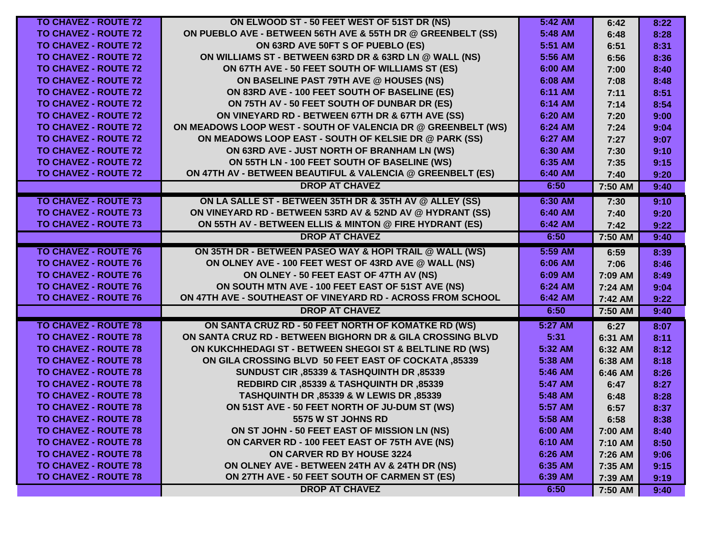| <b>TO CHAVEZ - ROUTE 72</b> | ON ELWOOD ST - 50 FEET WEST OF 51ST DR (NS)                  | 5:42 AM | 6:42    | 8:22 |
|-----------------------------|--------------------------------------------------------------|---------|---------|------|
| <b>TO CHAVEZ - ROUTE 72</b> | ON PUEBLO AVE - BETWEEN 56TH AVE & 55TH DR @ GREENBELT (SS)  | 5:48 AM | 6:48    | 8:28 |
| <b>TO CHAVEZ - ROUTE 72</b> | ON 63RD AVE 50FT S OF PUEBLO (ES)                            | 5:51 AM | 6:51    | 8:31 |
| <b>TO CHAVEZ - ROUTE 72</b> | ON WILLIAMS ST - BETWEEN 63RD DR & 63RD LN @ WALL (NS)       | 5:56 AM | 6:56    | 8:36 |
| <b>TO CHAVEZ - ROUTE 72</b> | ON 67TH AVE - 50 FEET SOUTH OF WILLIAMS ST (ES)              | 6:00 AM | 7:00    | 8:40 |
| <b>TO CHAVEZ - ROUTE 72</b> | ON BASELINE PAST 79TH AVE @ HOUSES (NS)                      | 6:08 AM | 7:08    | 8:48 |
| <b>TO CHAVEZ - ROUTE 72</b> | ON 83RD AVE - 100 FEET SOUTH OF BASELINE (ES)                | 6:11 AM | 7:11    | 8:51 |
| <b>TO CHAVEZ - ROUTE 72</b> | ON 75TH AV - 50 FEET SOUTH OF DUNBAR DR (ES)                 | 6:14 AM | 7:14    | 8:54 |
| <b>TO CHAVEZ - ROUTE 72</b> | ON VINEYARD RD - BETWEEN 67TH DR & 67TH AVE (SS)             | 6:20 AM | 7:20    | 9:00 |
| <b>TO CHAVEZ - ROUTE 72</b> | ON MEADOWS LOOP WEST - SOUTH OF VALENCIA DR @ GREENBELT (WS) | 6:24 AM | 7:24    | 9:04 |
| <b>TO CHAVEZ - ROUTE 72</b> | ON MEADOWS LOOP EAST - SOUTH OF KELSIE DR @ PARK (SS)        | 6:27 AM | 7:27    | 9:07 |
| <b>TO CHAVEZ - ROUTE 72</b> | ON 63RD AVE - JUST NORTH OF BRANHAM LN (WS)                  | 6:30 AM | 7:30    | 9:10 |
| <b>TO CHAVEZ - ROUTE 72</b> | ON 55TH LN - 100 FEET SOUTH OF BASELINE (WS)                 | 6:35 AM | 7:35    | 9:15 |
| <b>TO CHAVEZ - ROUTE 72</b> | ON 47TH AV - BETWEEN BEAUTIFUL & VALENCIA @ GREENBELT (ES)   | 6:40 AM | 7:40    | 9:20 |
|                             | <b>DROP AT CHAVEZ</b>                                        | 6:50    | 7:50 AM | 9:40 |
| <b>TO CHAVEZ - ROUTE 73</b> | ON LA SALLE ST - BETWEEN 35TH DR & 35TH AV @ ALLEY (SS)      | 6:30 AM | 7:30    | 9:10 |
| <b>TO CHAVEZ - ROUTE 73</b> | ON VINEYARD RD - BETWEEN 53RD AV & 52ND AV @ HYDRANT (SS)    | 6:40 AM | 7:40    | 9:20 |
| <b>TO CHAVEZ - ROUTE 73</b> | ON 55TH AV - BETWEEN ELLIS & MINTON @ FIRE HYDRANT (ES)      | 6:42 AM | 7:42    | 9:22 |
|                             | <b>DROP AT CHAVEZ</b>                                        | 6:50    | 7:50 AM | 9:40 |
| <b>TO CHAVEZ - ROUTE 76</b> | ON 35TH DR - BETWEEN PASEO WAY & HOPI TRAIL @ WALL (WS)      | 5:59 AM | 6:59    | 8:39 |
| <b>TO CHAVEZ - ROUTE 76</b> | ON OLNEY AVE - 100 FEET WEST OF 43RD AVE @ WALL (NS)         | 6:06 AM | 7:06    | 8:46 |
| <b>TO CHAVEZ - ROUTE 76</b> | ON OLNEY - 50 FEET EAST OF 47TH AV (NS)                      | 6:09 AM | 7:09 AM | 8:49 |
| <b>TO CHAVEZ - ROUTE 76</b> | ON SOUTH MTN AVE - 100 FEET EAST OF 51ST AVE (NS)            | 6:24 AM | 7:24 AM | 9:04 |
| <b>TO CHAVEZ - ROUTE 76</b> | ON 47TH AVE - SOUTHEAST OF VINEYARD RD - ACROSS FROM SCHOOL  | 6:42 AM | 7:42 AM | 9:22 |
|                             | <b>DROP AT CHAVEZ</b>                                        | 6:50    | 7:50 AM | 9:40 |
| <b>TO CHAVEZ - ROUTE 78</b> | ON SANTA CRUZ RD - 50 FEET NORTH OF KOMATKE RD (WS)          | 5:27 AM | 6:27    | 8:07 |
| <b>TO CHAVEZ - ROUTE 78</b> | ON SANTA CRUZ RD - BETWEEN BIGHORN DR & GILA CROSSING BLVD   | 5:31    | 6:31 AM | 8:11 |
| <b>TO CHAVEZ - ROUTE 78</b> | ON KUKCHHEDAGI ST - BETWEEN SHEGOI ST & BELTLINE RD (WS)     | 5:32 AM | 6:32 AM | 8:12 |
| <b>TO CHAVEZ - ROUTE 78</b> | <b>ON GILA CROSSING BLVD 50 FEET EAST OF COCKATA, 85339</b>  | 5:38 AM | 6:38 AM | 8:18 |
| <b>TO CHAVEZ - ROUTE 78</b> | SUNDUST CIR, 85339 & TASHQUINTH DR, 85339                    | 5:46 AM | 6:46 AM | 8:26 |
| <b>TO CHAVEZ - ROUTE 78</b> | REDBIRD CIR, 85339 & TASHQUINTH DR, 85339                    | 5:47 AM | 6:47    | 8:27 |
| <b>TO CHAVEZ - ROUTE 78</b> | TASHQUINTH DR ,85339 & W LEWIS DR ,85339                     | 5:48 AM | 6:48    | 8:28 |
| <b>TO CHAVEZ - ROUTE 78</b> | ON 51ST AVE - 50 FEET NORTH OF JU-DUM ST (WS)                | 5:57 AM | 6:57    | 8:37 |
| <b>TO CHAVEZ - ROUTE 78</b> | 5575 W ST JOHNS RD                                           | 5:58 AM | 6:58    | 8:38 |
| <b>TO CHAVEZ - ROUTE 78</b> | ON ST JOHN - 50 FEET EAST OF MISSION LN (NS)                 | 6:00 AM | 7:00 AM | 8:40 |
| <b>TO CHAVEZ - ROUTE 78</b> | ON CARVER RD - 100 FEET EAST OF 75TH AVE (NS)                | 6:10 AM | 7:10 AM | 8:50 |
| <b>TO CHAVEZ - ROUTE 78</b> | ON CARVER RD BY HOUSE 3224                                   | 6:26 AM | 7:26 AM | 9:06 |
| <b>TO CHAVEZ - ROUTE 78</b> | ON OLNEY AVE - BETWEEN 24TH AV & 24TH DR (NS)                | 6:35 AM | 7:35 AM | 9:15 |
| <b>TO CHAVEZ - ROUTE 78</b> | ON 27TH AVE - 50 FEET SOUTH OF CARMEN ST (ES)                | 6:39 AM | 7:39 AM | 9:19 |
|                             | <b>DROP AT CHAVEZ</b>                                        | 6:50    | 7:50 AM | 9:40 |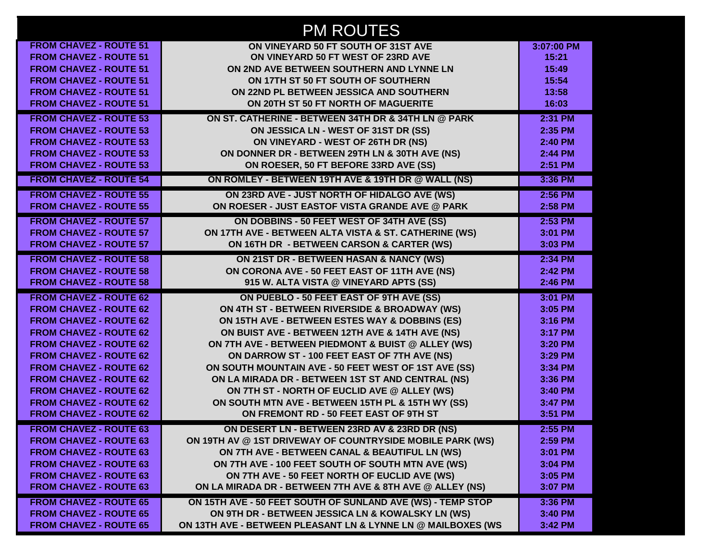|                               | <b>PM ROUTES</b>                                             |            |
|-------------------------------|--------------------------------------------------------------|------------|
| <b>FROM CHAVEZ - ROUTE 51</b> | ON VINEYARD 50 FT SOUTH OF 31ST AVE                          | 3:07:00 PM |
| <b>FROM CHAVEZ - ROUTE 51</b> | ON VINEYARD 50 FT WEST OF 23RD AVE                           | 15:21      |
| <b>FROM CHAVEZ - ROUTE 51</b> | ON 2ND AVE BETWEEN SOUTHERN AND LYNNE LN                     | 15:49      |
| <b>FROM CHAVEZ - ROUTE 51</b> | ON 17TH ST 50 FT SOUTH OF SOUTHERN                           | 15:54      |
| <b>FROM CHAVEZ - ROUTE 51</b> | ON 22ND PL BETWEEN JESSICA AND SOUTHERN                      | 13:58      |
| <b>FROM CHAVEZ - ROUTE 51</b> | ON 20TH ST 50 FT NORTH OF MAGUERITE                          | 16:03      |
| <b>FROM CHAVEZ - ROUTE 53</b> | ON ST. CATHERINE - BETWEEN 34TH DR & 34TH LN @ PARK          | 2:31 PM    |
| <b>FROM CHAVEZ - ROUTE 53</b> | ON JESSICA LN - WEST OF 31ST DR (SS)                         | 2:35 PM    |
| <b>FROM CHAVEZ - ROUTE 53</b> | ON VINEYARD - WEST OF 26TH DR (NS)                           | 2:40 PM    |
| <b>FROM CHAVEZ - ROUTE 53</b> | ON DONNER DR - BETWEEN 29TH LN & 30TH AVE (NS)               | 2:44 PM    |
| <b>FROM CHAVEZ - ROUTE 53</b> | ON ROESER, 50 FT BEFORE 33RD AVE (SS)                        | 2:51 PM    |
| <b>FROM CHAVEZ - ROUTE 54</b> | ON ROMLEY - BETWEEN 19TH AVE & 19TH DR @ WALL (NS)           | 3:36 PM    |
| <b>FROM CHAVEZ - ROUTE 55</b> | ON 23RD AVE - JUST NORTH OF HIDALGO AVE (WS)                 | 2:56 PM    |
| <b>FROM CHAVEZ - ROUTE 55</b> | ON ROESER - JUST EASTOF VISTA GRANDE AVE @ PARK              | 2:58 PM    |
| <b>FROM CHAVEZ - ROUTE 57</b> | ON DOBBINS - 50 FEET WEST OF 34TH AVE (SS)                   | 2:53 PM    |
| <b>FROM CHAVEZ - ROUTE 57</b> | ON 17TH AVE - BETWEEN ALTA VISTA & ST. CATHERINE (WS)        | 3:01 PM    |
| <b>FROM CHAVEZ - ROUTE 57</b> | ON 16TH DR - BETWEEN CARSON & CARTER (WS)                    | 3:03 PM    |
| <b>FROM CHAVEZ - ROUTE 58</b> | ON 21ST DR - BETWEEN HASAN & NANCY (WS)                      | 2:34 PM    |
| <b>FROM CHAVEZ - ROUTE 58</b> | ON CORONA AVE - 50 FEET EAST OF 11TH AVE (NS)                | 2:42 PM    |
| <b>FROM CHAVEZ - ROUTE 58</b> | 915 W. ALTA VISTA @ VINEYARD APTS (SS)                       | 2:46 PM    |
| <b>FROM CHAVEZ - ROUTE 62</b> | ON PUEBLO - 50 FEET EAST OF 9TH AVE (SS)                     | 3:01 PM    |
| <b>FROM CHAVEZ - ROUTE 62</b> | ON 4TH ST - BETWEEN RIVERSIDE & BROADWAY (WS)                | 3:05 PM    |
| <b>FROM CHAVEZ - ROUTE 62</b> | ON 15TH AVE - BETWEEN ESTES WAY & DOBBINS (ES)               | 3:16 PM    |
| <b>FROM CHAVEZ - ROUTE 62</b> | ON BUIST AVE - BETWEEN 12TH AVE & 14TH AVE (NS)              | 3:17 PM    |
| <b>FROM CHAVEZ - ROUTE 62</b> | ON 7TH AVE - BETWEEN PIEDMONT & BUIST @ ALLEY (WS)           | 3:20 PM    |
| <b>FROM CHAVEZ - ROUTE 62</b> | ON DARROW ST - 100 FEET EAST OF 7TH AVE (NS)                 | 3:29 PM    |
| <b>FROM CHAVEZ - ROUTE 62</b> | ON SOUTH MOUNTAIN AVE - 50 FEET WEST OF 1ST AVE (SS)         | 3:34 PM    |
| <b>FROM CHAVEZ - ROUTE 62</b> | ON LA MIRADA DR - BETWEEN 1ST ST AND CENTRAL (NS)            | 3:36 PM    |
| <b>FROM CHAVEZ - ROUTE 62</b> | ON 7TH ST - NORTH OF EUCLID AVE @ ALLEY (WS)                 | 3:40 PM    |
| <b>FROM CHAVEZ - ROUTE 62</b> | ON SOUTH MTN AVE - BETWEEN 15TH PL & 15TH WY (SS)            | 3:47 PM    |
| <b>FROM CHAVEZ - ROUTE 62</b> | ON FREMONT RD - 50 FEET EAST OF 9TH ST                       | 3:51 PM    |
| <b>FROM CHAVEZ - ROUTE 63</b> | ON DESERT LN - BETWEEN 23RD AV & 23RD DR (NS)                | 2:55 PM    |
| <b>FROM CHAVEZ - ROUTE 63</b> | ON 19TH AV @ 1ST DRIVEWAY OF COUNTRYSIDE MOBILE PARK (WS)    | 2:59 PM    |
| <b>FROM CHAVEZ - ROUTE 63</b> | ON 7TH AVE - BETWEEN CANAL & BEAUTIFUL LN (WS)               | 3:01 PM    |
| <b>FROM CHAVEZ - ROUTE 63</b> | ON 7TH AVE - 100 FEET SOUTH OF SOUTH MTN AVE (WS)            | 3:04 PM    |
| <b>FROM CHAVEZ - ROUTE 63</b> | ON 7TH AVE - 50 FEET NORTH OF EUCLID AVE (WS)                | 3:05 PM    |
| <b>FROM CHAVEZ - ROUTE 63</b> | ON LA MIRADA DR - BETWEEN 7TH AVE & 8TH AVE @ ALLEY (NS)     | 3:07 PM    |
| <b>FROM CHAVEZ - ROUTE 65</b> | ON 15TH AVE - 50 FEET SOUTH OF SUNLAND AVE (WS) - TEMP STOP  | 3:36 PM    |
| <b>FROM CHAVEZ - ROUTE 65</b> | ON 9TH DR - BETWEEN JESSICA LN & KOWALSKY LN (WS)            | 3:40 PM    |
| <b>FROM CHAVEZ - ROUTE 65</b> | ON 13TH AVE - BETWEEN PLEASANT LN & LYNNE LN @ MAILBOXES (WS | 3:42 PM    |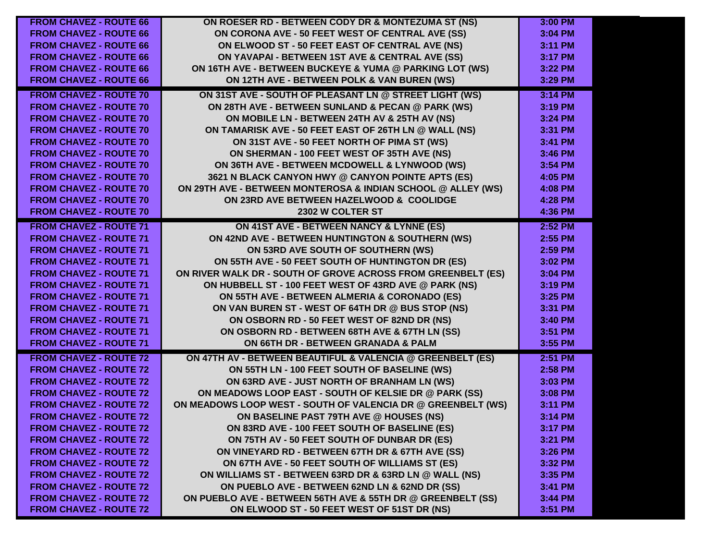| <b>FROM CHAVEZ - ROUTE 66</b> | ON ROESER RD - BETWEEN CODY DR & MONTEZUMA ST (NS)           | 3:00 PM |
|-------------------------------|--------------------------------------------------------------|---------|
| <b>FROM CHAVEZ - ROUTE 66</b> | ON CORONA AVE - 50 FEET WEST OF CENTRAL AVE (SS)             | 3:04 PM |
| <b>FROM CHAVEZ - ROUTE 66</b> | ON ELWOOD ST - 50 FEET EAST OF CENTRAL AVE (NS)              | 3:11 PM |
| <b>FROM CHAVEZ - ROUTE 66</b> | ON YAVAPAI - BETWEEN 1ST AVE & CENTRAL AVE (SS)              | 3:17 PM |
| <b>FROM CHAVEZ - ROUTE 66</b> | ON 16TH AVE - BETWEEN BUCKEYE & YUMA @ PARKING LOT (WS)      | 3:22 PM |
| <b>FROM CHAVEZ - ROUTE 66</b> | ON 12TH AVE - BETWEEN POLK & VAN BUREN (WS)                  | 3:29 PM |
| <b>FROM CHAVEZ - ROUTE 70</b> | ON 31ST AVE - SOUTH OF PLEASANT LN @ STREET LIGHT (WS)       | 3:14 PM |
| <b>FROM CHAVEZ - ROUTE 70</b> | ON 28TH AVE - BETWEEN SUNLAND & PECAN @ PARK (WS)            | 3:19 PM |
| <b>FROM CHAVEZ - ROUTE 70</b> | ON MOBILE LN - BETWEEN 24TH AV & 25TH AV (NS)                | 3:24 PM |
| <b>FROM CHAVEZ - ROUTE 70</b> | ON TAMARISK AVE - 50 FEET EAST OF 26TH LN @ WALL (NS)        | 3:31 PM |
| <b>FROM CHAVEZ - ROUTE 70</b> | ON 31ST AVE - 50 FEET NORTH OF PIMA ST (WS)                  | 3:41 PM |
| <b>FROM CHAVEZ - ROUTE 70</b> | ON SHERMAN - 100 FEET WEST OF 35TH AVE (NS)                  | 3:46 PM |
| <b>FROM CHAVEZ - ROUTE 70</b> | ON 36TH AVE - BETWEEN MCDOWELL & LYNWOOD (WS)                | 3:54 PM |
| <b>FROM CHAVEZ - ROUTE 70</b> | 3621 N BLACK CANYON HWY @ CANYON POINTE APTS (ES)            | 4:05 PM |
| <b>FROM CHAVEZ - ROUTE 70</b> | ON 29TH AVE - BETWEEN MONTEROSA & INDIAN SCHOOL @ ALLEY (WS) | 4:08 PM |
| <b>FROM CHAVEZ - ROUTE 70</b> | ON 23RD AVE BETWEEN HAZELWOOD & COOLIDGE                     | 4:28 PM |
| <b>FROM CHAVEZ - ROUTE 70</b> | 2302 W COLTER ST                                             | 4:36 PM |
| <b>FROM CHAVEZ - ROUTE 71</b> | ON 41ST AVE - BETWEEN NANCY & LYNNE (ES)                     | 2:52 PM |
| <b>FROM CHAVEZ - ROUTE 71</b> | ON 42ND AVE - BETWEEN HUNTINGTON & SOUTHERN (WS)             | 2:55 PM |
| <b>FROM CHAVEZ - ROUTE 71</b> | ON 53RD AVE SOUTH OF SOUTHERN (WS)                           | 2:59 PM |
| <b>FROM CHAVEZ - ROUTE 71</b> | ON 55TH AVE - 50 FEET SOUTH OF HUNTINGTON DR (ES)            | 3:02 PM |
| <b>FROM CHAVEZ - ROUTE 71</b> | ON RIVER WALK DR - SOUTH OF GROVE ACROSS FROM GREENBELT (ES) | 3:04 PM |
| <b>FROM CHAVEZ - ROUTE 71</b> | ON HUBBELL ST - 100 FEET WEST OF 43RD AVE @ PARK (NS)        | 3:19 PM |
| <b>FROM CHAVEZ - ROUTE 71</b> | ON 55TH AVE - BETWEEN ALMERIA & CORONADO (ES)                | 3:25 PM |
| <b>FROM CHAVEZ - ROUTE 71</b> | ON VAN BUREN ST - WEST OF 64TH DR @ BUS STOP (NS)            | 3:31 PM |
| <b>FROM CHAVEZ - ROUTE 71</b> | ON OSBORN RD - 50 FEET WEST OF 82ND DR (NS)                  | 3:40 PM |
| <b>FROM CHAVEZ - ROUTE 71</b> | ON OSBORN RD - BETWEEN 68TH AVE & 67TH LN (SS)               | 3:51 PM |
| <b>FROM CHAVEZ - ROUTE 71</b> | ON 66TH DR - BETWEEN GRANADA & PALM                          | 3:55 PM |
| <b>FROM CHAVEZ - ROUTE 72</b> | ON 47TH AV - BETWEEN BEAUTIFUL & VALENCIA @ GREENBELT (ES)   | 2:51 PM |
| <b>FROM CHAVEZ - ROUTE 72</b> | ON 55TH LN - 100 FEET SOUTH OF BASELINE (WS)                 | 2:58 PM |
| <b>FROM CHAVEZ - ROUTE 72</b> | ON 63RD AVE - JUST NORTH OF BRANHAM LN (WS)                  | 3:03 PM |
| <b>FROM CHAVEZ - ROUTE 72</b> | ON MEADOWS LOOP EAST - SOUTH OF KELSIE DR @ PARK (SS)        | 3:08 PM |
| <b>FROM CHAVEZ - ROUTE 72</b> | ON MEADOWS LOOP WEST - SOUTH OF VALENCIA DR @ GREENBELT (WS) | 3:11 PM |
| <b>FROM CHAVEZ - ROUTE 72</b> | ON BASELINE PAST 79TH AVE @ HOUSES (NS)                      | 3:14 PM |
| <b>FROM CHAVEZ - ROUTE 72</b> | ON 83RD AVE - 100 FEET SOUTH OF BASELINE (ES)                | 3:17 PM |
| <b>FROM CHAVEZ - ROUTE 72</b> | ON 75TH AV - 50 FEET SOUTH OF DUNBAR DR (ES)                 | 3:21 PM |
| <b>FROM CHAVEZ - ROUTE 72</b> | ON VINEYARD RD - BETWEEN 67TH DR & 67TH AVE (SS)             | 3:26 PM |
| <b>FROM CHAVEZ - ROUTE 72</b> | ON 67TH AVE - 50 FEET SOUTH OF WILLIAMS ST (ES)              | 3:32 PM |
| <b>FROM CHAVEZ - ROUTE 72</b> | ON WILLIAMS ST - BETWEEN 63RD DR & 63RD LN @ WALL (NS)       | 3:35 PM |
| <b>FROM CHAVEZ - ROUTE 72</b> | ON PUEBLO AVE - BETWEEN 62ND LN & 62ND DR (SS)               | 3:41 PM |
| <b>FROM CHAVEZ - ROUTE 72</b> | ON PUEBLO AVE - BETWEEN 56TH AVE & 55TH DR @ GREENBELT (SS)  | 3:44 PM |
| <b>FROM CHAVEZ - ROUTE 72</b> | ON ELWOOD ST - 50 FEET WEST OF 51ST DR (NS)                  | 3:51 PM |